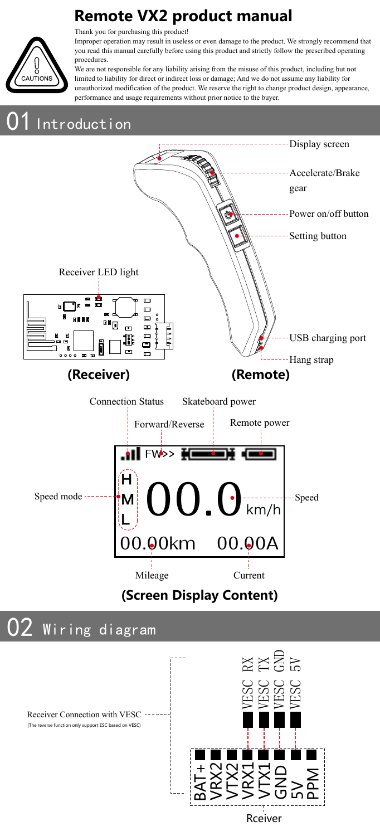# **Remote VX2 product manual**



Thank you for purchasing this product!

Improper operation may result in useless or even damage to the product. We strongly recommend that you read this manual carefully before using this product and strictly follow the prescribed operating procedures.

We are not responsible for any liability arising from the misuse of this product, including but not limited to liability for direct or indirect loss or damage; And we do not assume any liability for unauthorized modification of the product. We reserve the right to change product design, appearance, performance and usage requirements without prior notice to the buyer.

## Introduction